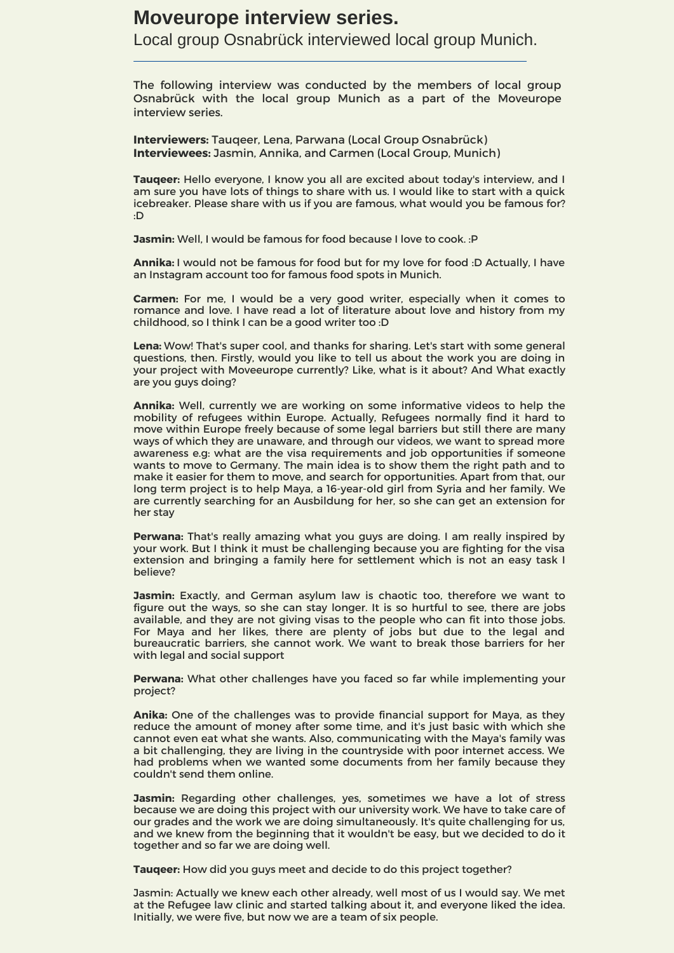## **Moveurope interview series.**

Local group Osnabrück interviewed local group Munich.

The following interview was conducted by the members of local group Osnabrück with the local group Munich as a part of the Moveurope interview series.

**Interviewers:** Tauqeer, Lena, Parwana (Local Group Osnabrück) **Interviewees:** Jasmin, Annika, and Carmen (Local Group, Munich)

**Tauqeer:** Hello everyone, I know you all are excited about today's interview, and I am sure you have lots of things to share with us. I would like to start with a quick icebreaker. Please share with us if you are famous, what would you be famous for? :D

**Jasmin:** Well, I would be famous for food because I love to cook. : P

**Annika:** I would not be famous for food but for my love for food :D Actually, I have an Instagram account too for famous food spots in Munich.

**Carmen:** For me, I would be a very good writer, especially when it comes to romance and love. I have read a lot of literature about love and history from my childhood, so I think I can be a good writer too :D

**Lena:** Wow! That's super cool, and thanks for sharing. Let's start with some general questions, then. Firstly, would you like to tell us about the work you are doing in your project with Moveeurope currently? Like, what is it about? And What exactly are you guys doing?

**Annika:** Well, currently we are working on some informative videos to help the mobility of refugees within Europe. Actually, Refugees normally find it hard to move within Europe freely because of some legal barriers but still there are many ways of which they are unaware, and through our videos, we want to spread more awareness e.g: what are the visa requirements and job opportunities if someone wants to move to Germany. The main idea is to show them the right path and to make it easier for them to move, and search for opportunities. Apart from that, our long term project is to help Maya, a 16-year-old girl from Syria and her family. We are currently searching for an Ausbildung for her, so she can get an extension for her stay

**Perwana:** That's really amazing what you guys are doing. I am really inspired by your work. But I think it must be challenging because you are fighting for the visa extension and bringing a family here for settlement which is not an easy task I believe?

**Jasmin:** Exactly, and German asylum law is chaotic too, therefore we want to figure out the ways, so she can stay longer. It is so hurtful to see, there are jobs available, and they are not giving visas to the people who can fit into those jobs. For Maya and her likes, there are plenty of jobs but due to the legal and bureaucratic barriers, she cannot work. We want to break those barriers for her with legal and social support

**Perwana:** What other challenges have you faced so far while implementing your project?

**Anika:** One of the challenges was to provide financial support for Maya, as they reduce the amount of money after some time, and it's just basic with which she cannot even eat what she wants. Also, communicating with the Maya's family was a bit challenging, they are living in the countryside with poor internet access. We had problems when we wanted some documents from her family because they couldn't send them online.

**Jasmin:** Regarding other challenges, yes, sometimes we have a lot of stress because we are doing this project with our university work. We have to take care of our grades and the work we are doing simultaneously. It's quite challenging for us, and we knew from the beginning that it wouldn't be easy, but we decided to do it together and so far we are doing well.

**Tauqeer:** How did you guys meet and decide to do this project together?

Jasmin: Actually we knew each other already, well most of us I would say. We met at the Refugee law clinic and started talking about it, and everyone liked the idea. Initially, we were five, but now we are a team of six people.